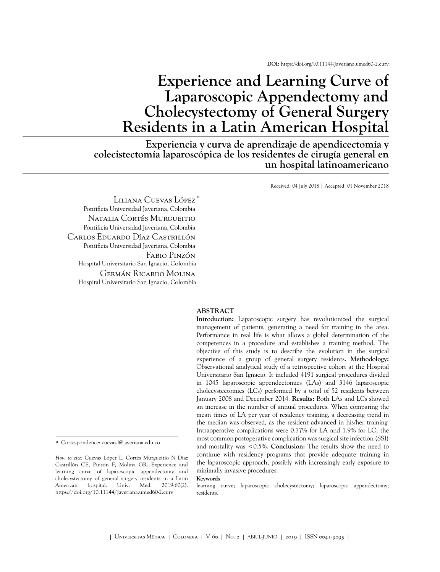# **Experience and Learning Curve of Laparoscopic Appendectomy and Cholecystectomy of General Surgery Residents in a Latin American Hospital**

**Experiencia y curva de aprendizaje de apendicectomía y colecistectomía laparoscópica de los residentes de cirugía general en un hospital latinoamericano**

Received: 04 July 2018 | Accepted: 01 November 2018

Liliana Cuevas López<sup>a</sup> Pontificia Universidad Javeriana, Colombia Natalia Cortés Murgueitio Pontificia Universidad Javeriana, Colombia Carlos Eduardo Díaz Castrillón Pontificia Universidad Javeriana, Colombia Fabio Pinzón Hospital Universitario San Ignacio, Colombia

Germán Ricardo Molina Hospital Universitario San Ignacio, Colombia

#### **ABSTRACT**

**Introduction:** Laparoscopic surgery has revolutionized the surgical management of patients, generating a need for training in the area. Performance in real life is what allows a global determination of the competences in a procedure and establishes a training method. The objective of this study is to describe the evolution in the surgical experience of a group of general surgery residents. **Methodology:**  Observational analytical study of a retrospective cohort at the Hospital Universitario San Ignacio. It included 4191 surgical procedures divided in 1045 laparoscopic appendectomies (LAs) and 3146 laparoscopic cholecystectomies (LCs) performed by a total of 52 residents between January 2008 and December 2014. **Results:** Both LAs and LCs showed an increase in the number of annual procedures. When comparing the mean times of LA per year of residency training, a decreasing trend in the median was observed, as the resident advanced in his/her training. Intraoperative complications were 0.77% for LA and 1.9% for LC; the most common postoperative complication was surgical site infection (SSI) and mortality was <0.5%. **Conclusion:** The results show the need to continue with residency programs that provide adequate training in the laparoscopic approach, possibly with increasingly early exposure to minimally invasive procedures.

**Keywords**

learning curve; laparoscopic cholecystectomy; laparoscopic appendectomy; residents.

a Correspondence: cuevas-l@javeriana.edu.co

*How to cite*: Cuevas López L, Cortés Murgueitio N Díaz Castrillón CE, Pinzón F, Molina GR. Experience and learning curve of laparoscopic appendectomy and cholecystectomy of general surgery residents in a Latin American hospital. Univ. Med. 2019;60(2). https://doi.org/10.11144/Javeriana.umed60-2.curv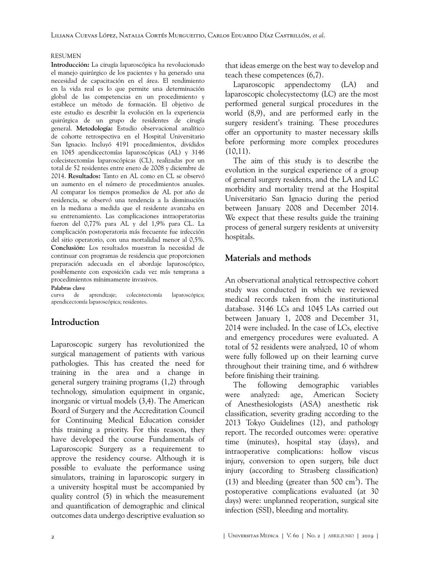#### RESUMEN

**Introducción:** La cirugía laparoscópica ha revolucionado el manejo quirúrgico de los pacientes y ha generado una necesidad de capacitación en el área. El rendimiento en la vida real es lo que permite una determinación global de las competencias en un procedimiento y establece un método de formación. El objetivo de este estudio es describir la evolución en la experiencia quirúrgica de un grupo de residentes de cirugía general. **Metodología:** Estudio observacional analítico de cohorte retrospectiva en el Hospital Universitario San Ignacio. Incluyó 4191 procedimientos, divididos en 1045 apendicectomías laparoscópicas (AL) y 3146 colecistectomías laparoscópicas (CL), realizadas por un total de 52 residentes entre enero de 2008 y diciembre de 2014. **Resultados:** Tanto en AL como en CL se observó un aumento en el número de procedimientos anuales. Al comparar los tiempos promedios de AL por año de residencia, se observó una tendencia a la disminución en la mediana a medida que el residente avanzaba en su entrenamiento. Las complicaciones intraoperatorias fueron del 0,77% para AL y del 1,9% para CL. La complicación postoperatoria más frecuente fue infección del sitio operatorio, con una mortalidad menor al 0,5%. **Conclusión:** Los resultados muestran la necesidad de continuar con programas de residencia que proporcionen preparación adecuada en el abordaje laparoscópico, posiblemente con exposición cada vez más temprana a procedimientos mínimamente invasivos.

**Palabras clave**

curva de aprendizaje; colecistectomía laparoscópica; apendicectomía laparoscópica; residentes.

### **Introduction**

Laparoscopic surgery has revolutionized the surgical management of patients with various pathologies. This has created the need for training in the area and a change in general surgery training programs [\(1,](#page-6-0)[2\)](#page-6-1) through technology, simulation equipment in organic, inorganic or virtual models ([3](#page-7-0),[4](#page-7-1)). The American Board of Surgery and the Accreditation Council for Continuing Medical Education consider this training a priority. For this reason, they have developed the course Fundamentals of Laparoscopic Surgery as a requirement to approve the residency course. Although it is possible to evaluate the performance using simulators, training in laparoscopic surgery in a university hospital must be accompanied by quality control [\(5\)](#page-7-2) in which the measurement and quantification of demographic and clinical outcomes data undergo descriptive evaluation so

that ideas emerge on the best way to develop and teach these competences [\(6](#page-7-3)[,7\)](#page-7-4).

Laparoscopic appendectomy (LA) and laparoscopic cholecystectomy (LC) are the most performed general surgical procedures in the world ([8](#page-7-5)[,9\)](#page-7-6), and are performed early in the surgery resident's training. These procedures offer an opportunity to master necessary skills before performing more complex procedures  $(10,11)$  $(10,11)$  $(10,11)$  $(10,11)$ .

The aim of this study is to describe the evolution in the surgical experience of a group of general surgery residents, and the LA and LC morbidity and mortality trend at the Hospital Universitario San Ignacio during the period between January 2008 and December 2014. We expect that these results guide the training process of general surgery residents at university hospitals.

### **Materials and methods**

An observational analytical retrospective cohort study was conducted in which we reviewed medical records taken from the institutional database. 3146 LCs and 1045 LAs carried out between January 1, 2008 and December 31, 2014 were included. In the case of LCs, elective and emergency procedures were evaluated. A total of 52 residents were analyzed, 10 of whom were fully followed up on their learning curve throughout their training time, and 6 withdrew before finishing their training.

The following demographic variables were analyzed: age, American Society of Anesthesiologists (ASA) anesthetic risk classification, severity grading according to the 2013 Tokyo Guidelines ([12\)](#page-7-9), and pathology report. The recorded outcomes were: operative time (minutes), hospital stay (days), and intraoperative complications: hollow viscus injury, conversion to open surgery, bile duct injury (according to Strasberg classification) ([13\)](#page-7-10) and bleeding (greater than  $500 \text{ cm}^3$ ). The postoperative complications evaluated (at 30 days) were: unplanned reoperation, surgical site infection (SSI), bleeding and mortality.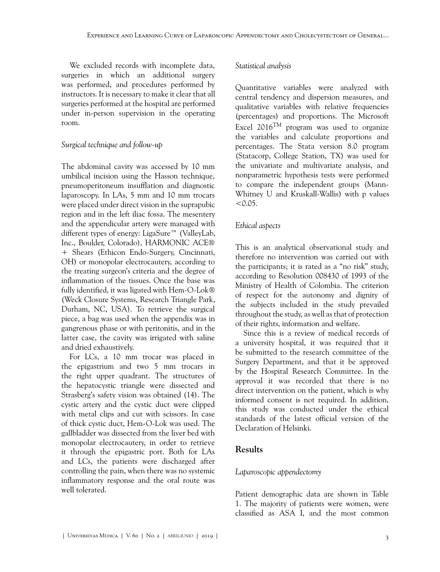We excluded records with incomplete data, surgeries in which an additional surgery was performed, and procedures performed by instructors. It is necessary to make it clear that all surgeries performed at the hospital are performed under in-person supervision in the operating room.

### *Surgical technique and follow-up*

The abdominal cavity was accessed by 10 mm umbilical incision using the Hasson technique, pneumoperitoneum insufflation and diagnostic laparoscopy. In LAs, 5 mm and 10 mm trocars were placed under direct vision in the suprapubic region and in the left iliac fossa. The mesentery and the appendicular artery were managed with different types of energy: LigaSure™ (ValleyLab, Inc., Boulder, Colorado), HARMONIC ACE® + Shears (Ethicon Endo-Surgery, Cincinnati, OH) or monopolar electrocautery, according to the treating surgeon's criteria and the degree of inflammation of the tissues. Once the base was fully identified, it was ligated with Hem-O-Lok® (Weck Closure Systems, Research Triangle Park, Durham, NC, USA). To retrieve the surgical piece, a bag was used when the appendix was in gangrenous phase or with peritonitis, and in the latter case, the cavity was irrigated with saline and dried exhaustively.

For LCs, a 10 mm trocar was placed in the epigastrium and two 5 mm trocars in the right upper quadrant. The structures of the hepatocystic triangle were dissected and Strasberg's safety vision was obtained [\(14](#page-7-11)). The cystic artery and the cystic duct were clipped with metal clips and cut with scissors. In case of thick cystic duct, Hem-O-Lok was used. The gallbladder was dissected from the liver bed with monopolar electrocautery, in order to retrieve it through the epigastric port. Both for LAs and LCs, the patients were discharged after controlling the pain, when there was no systemic inflammatory response and the oral route was well tolerated.

### *Statistical analysis*

Quantitative variables were analyzed with central tendency and dispersion measures, and qualitative variables with relative frequencies (percentages) and proportions. The Microsoft Excel  $2016^{TM}$  program was used to organize the variables and calculate proportions and percentages. The Stata version 8.0 program (Statacorp, College Station, TX) was used for the univariate and multivariate analysis, and nonparametric hypothesis tests were performed to compare the independent groups (Mann-Whitney U and Kruskall-Wallis) with p values  $< 0.05$ .

### *Ethical aspects*

This is an analytical observational study and therefore no intervention was carried out with the participants; it is rated as a "no risk" study, according to Resolution 008430 of 1993 of the Ministry of Health of Colombia. The criterion of respect for the autonomy and dignity of the subjects included in the study prevailed throughout the study, as well as that of protection of their rights, information and welfare.

Since this is a review of medical records of a university hospital, it was required that it be submitted to the research committee of the Surgery Department, and that it be approved by the Hospital Research Committee. In the approval it was recorded that there is no direct intervention on the patient, which is why informed consent is not required. In addition, this study was conducted under the ethical standards of the latest official version of the Declaration of Helsinki.

### **Results**

### *Laparoscopic appendectomy*

Patient demographic data are shown in [Table](#page-3-0) [1](#page-3-0). The majority of patients were women, were classified as ASA I, and the most common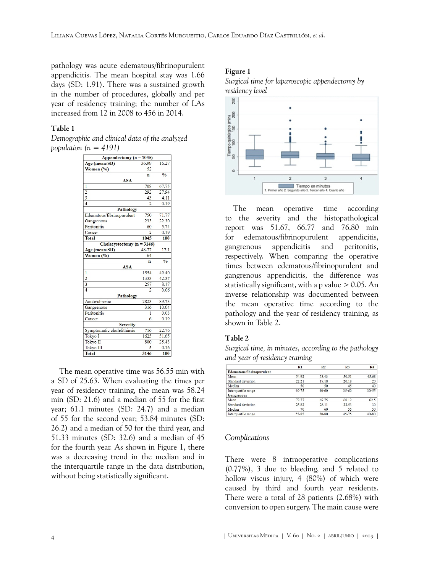pathology was acute edematous/fibrinopurulent appendicitis. The mean hospital stay was 1.66 days (SD: 1.91). There was a sustained growth in the number of procedures, globally and per year of residency training; the number of LAs increased from 12 in 2008 to 456 in 2014.

#### <span id="page-3-0"></span>Table 1

| Demographic and clinical data of the analyzed |  |  |
|-----------------------------------------------|--|--|
| population ( $n = 4191$ )                     |  |  |

| Appendectomy ( $n = 1045$ )    |                |                           |  |  |
|--------------------------------|----------------|---------------------------|--|--|
| Age (mean/SD)                  | 36.99          | 16.27                     |  |  |
| Women $(%)$                    | 52             |                           |  |  |
|                                | $\mathbf n$    | $\overline{\mathbf{0}}_0$ |  |  |
| <b>ASA</b>                     |                |                           |  |  |
| $\mathbf{1}$                   | 708            | 67.75                     |  |  |
| $\overline{2}$                 | 292            | 27.94                     |  |  |
| 3                              | 43             | 4.11                      |  |  |
| $\overline{4}$                 | $\overline{2}$ | 0.19                      |  |  |
| Pathology                      |                |                           |  |  |
| Edematous/fibrinopurulent      | 750            | 71.77                     |  |  |
| Gangrenous                     | 233            | 22.30                     |  |  |
| Peritonitis                    | 60             | 5.74                      |  |  |
| Cancer                         | $\overline{2}$ | 0.19                      |  |  |
| <b>Total</b>                   | 1045           | 100                       |  |  |
| Cholecystectomy ( $n = 3146$ ) |                |                           |  |  |
| Age (mean/SD)                  | 48.77          | 17.1                      |  |  |
| Women $(\%)$                   | 64             |                           |  |  |
|                                | n              | $\frac{0}{0}$             |  |  |
| <b>ASA</b>                     |                |                           |  |  |
| 1                              | 1554           | 49.40                     |  |  |
| $\frac{2}{3}$                  | 1333           | 42.37                     |  |  |
|                                | 257            | 8.17                      |  |  |
| $\overline{4}$                 | $\overline{2}$ | 0.06                      |  |  |
| Pathology                      |                |                           |  |  |
| Acute/chronic                  | 2823           | 89.73                     |  |  |
| Gangrenous                     | 316            | 10.04                     |  |  |
| Peritonitis                    | 1              | 0.03                      |  |  |
| Cancer                         | 6              | 0.19                      |  |  |
| <b>Severity</b>                |                |                           |  |  |
| Symptomatic cholelithiasis     | 716            | 22.76                     |  |  |
| Tokyo I                        | 1625           | 51.65                     |  |  |
| Tokyo II                       | 800            | 25.43                     |  |  |
| Tokyo III                      | 5              | 0.16                      |  |  |
| Total                          | 3146           | 100                       |  |  |

The mean operative time was 56.55 min with a SD of 25.63. When evaluating the times per year of residency training, the mean was 58.24 min (SD: 21.6) and a median of 55 for the first year; 61.1 minutes (SD: 24.7) and a median of 55 for the second year; 53.84 minutes (SD: 26.2) and a median of 50 for the third year, and 51.33 minutes (SD: 32.6) and a median of 45 for the fourth year. As shown in [Figure 1](#page-3-1), there was a decreasing trend in the median and in the interquartile range in the data distribution, without being statistically significant.

#### <span id="page-3-1"></span>Figure 1





The mean operative time according to the severity and the histopathological report was 51.67, 66.77 and 76.80 min for edematous/fibrinopurulent appendicitis, gangrenous appendicitis and peritonitis, respectively. When comparing the operative times between edematous/fibrinopurulent and gangrenous appendicitis, the difference was statistically significant, with a p value  $> 0.05$ . An inverse relationship was documented between the mean operative time according to the pathology and the year of residency training, as shown in [Table 2.](#page-3-2)

#### <span id="page-3-2"></span>Table 2

*Surgical time, in minutes, according to the pathology and year of residency training*

|                           | R1        | R <sub>2</sub> | R <sub>3</sub> | R <sub>4</sub> |
|---------------------------|-----------|----------------|----------------|----------------|
| Edematous/fibrinopurulent |           |                |                |                |
| Mean                      | 54.92     | 53.43          | 50.51          | 45.68          |
| Standard deviation        | 22.21     | 19.18          | 20.18          | 20             |
| Median                    | 50        | 50             | 45             | 40             |
| Interquartile range       | $40 - 75$ | $40 - 60$      | $35 - 60$      | $30 - 55$      |
| <b>Gangrenous</b>         |           |                |                |                |
| Mean                      | 72.77     | 69.75          | 60.12          | 62.5           |
| Standard deviation        | 25.82     | 28.11          | 22.53          | 30             |
| Median                    | 70        | 60             | 55             | 50             |
| Interquartile range       | $55 - 85$ | 50-80          | $45 - 75$      | $40 - 80$      |

#### *Complications*

There were 8 intraoperative complications (0.77%), 3 due to bleeding, and 5 related to hollow viscus injury, 4 (80%) of which were caused by third and fourth year residents. There were a total of 28 patients (2.68%) with conversion to open surgery. The main cause were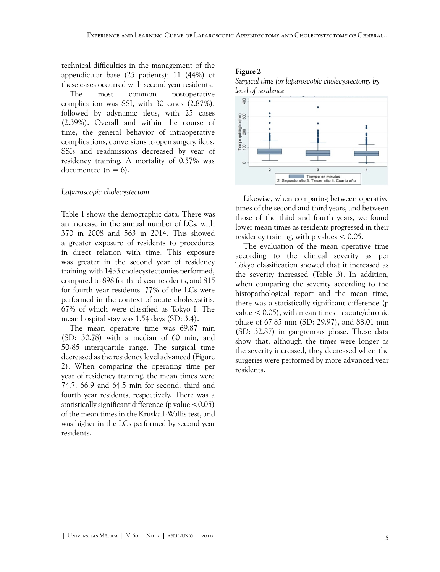technical difficulties in the management of the appendicular base (25 patients); 11 (44%) of these cases occurred with second year residents.

The most common postoperative complication was SSI, with 30 cases (2.87%), followed by adynamic ileus, with 25 cases (2.39%). Overall and within the course of time, the general behavior of intraoperative complications, conversions to open surgery, ileus, SSIs and readmissions decreased by year of residency training. A mortality of 0.57% was documented  $(n = 6)$ .

#### *Laparoscopic cholecystectom*

[Table 1](#page-3-0) shows the demographic data. There was an increase in the annual number of LCs, with 370 in 2008 and 563 in 2014. This showed a greater exposure of residents to procedures in direct relation with time. This exposure was greater in the second year of residency training,with 1433 cholecystectomies performed, compared to 898 for third year residents, and 815 for fourth year residents. 77% of the LCs were performed in the context of acute cholecystitis, 67% of which were classified as Tokyo I. The mean hospital stay was 1.54 days (SD: 3.4).

The mean operative time was 69.87 min (SD: 30.78) with a median of 60 min, and 50-85 interquartile range. The surgical time decreased as the residency level advanced [\(Figure](#page-4-0)  [2](#page-4-0)). When comparing the operating time per year of residency training, the mean times were 74.7, 66.9 and 64.5 min for second, third and fourth year residents, respectively. There was a statistically significant difference ( $p$  value  $< 0.05$ ) of the mean times in the Kruskall-Wallis test, and was higher in the LCs performed by second year residents.

### <span id="page-4-0"></span>Figure 2





Likewise, when comparing between operative times of the second and third years, and between those of the third and fourth years, we found lower mean times as residents progressed in their residency training, with  $p$  values  $\lt$  0.05.

The evaluation of the mean operative time according to the clinical severity as per Tokyo classification showed that it increased as the severity increased ([Table 3](#page-5-0)). In addition, when comparing the severity according to the histopathological report and the mean time, there was a statistically significant difference (p value  $< 0.05$ ), with mean times in acute/chronic phase of 67.85 min (SD: 29.97), and 88.01 min (SD: 32.87) in gangrenous phase. These data show that, although the times were longer as the severity increased, they decreased when the surgeries were performed by more advanced year residents.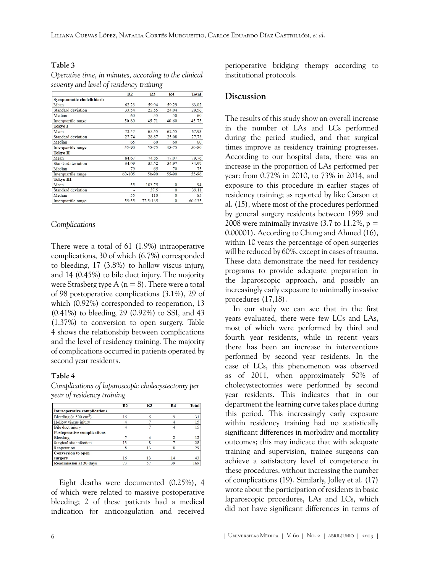Liliana Cuevas López, Natalia Cortés Murgueitio, Carlos Eduardo Díaz Castrillón, *et al*.

### <span id="page-5-0"></span>Table 3

*Operative time, in minutes, according to the clinical severity and level of residency training*

|                            | R <sub>2</sub> | R3        | R <sub>4</sub> | <b>Total</b> |
|----------------------------|----------------|-----------|----------------|--------------|
| Symptomatic cholelithiasis |                |           |                |              |
| Mean                       | 62.23          | 59.94     | 59.29          | 63.02        |
| Standard deviation         | 33.54          | 23.55     | 24.04          | 29.56        |
| Median                     | 60             | 55        | 50             | 60           |
| Interquartile range        | $50 - 80$      | $45 - 71$ | $40 - 60$      | $45 - 75$    |
| <b>Tokyo I</b>             |                |           |                |              |
| Mean                       | 72.57          | 65.55     | 62.55          | 67.93        |
| Standard deviation         | 27.74          | 28.87     | 25.08          | 27.73        |
| Median                     | 65             | 60        | 60             | 60           |
| Interquartile range        | 55-90          | 55-75     | $45 - 75$      | $50 - 80$    |
| <b>Tokyo II</b>            |                |           |                |              |
| Mean                       | 84.67          | 74.85     | 77.07          | 79.76        |
| Standard deviation         | 34.09          | 35.52     | 34.97          | 34.99        |
| Median                     | 79             | 65        | 70             | 75           |
| Interquartile range        | 60-105         | 50-90     | 55-90          | 55-96        |
| <b>Tokyo III</b>           |                |           |                |              |
| Mean                       | 55             | 103.75    | $\Omega$       | 94           |
| Standard deviation         |                | 37.5      | $\Omega$       | 39.11        |
| Median                     | 55             | 110       | $\mathbf{0}$   | 85           |
| Interquartile range        | $55 - 55$      | 72.5-135  | $\bf{0}$       | $60 - 135$   |

#### *Complications*

There were a total of 61 (1.9%) intraoperative complications, 30 of which (6.7%) corresponded to bleeding, 17 (3.8%) to hollow viscus injury, and 14 (0.45%) to bile duct injury. The majority were Strasberg type A ( $n = 8$ ). There were a total of 98 postoperative complications (3.1%), 29 of which (0.92%) corresponded to reoperation, 13 (0.41%) to bleeding, 29 (0.92%) to SSI, and 43 (1.37%) to conversion to open surgery. [Table](#page-5-1) [4](#page-5-1) shows the relationship between complications and the level of residency training. The majority of complications occurred in patients operated by second year residents.

#### <span id="page-5-1"></span>Table 4

*Complications of laparoscopic cholecystectomy per year of residency training*

|                                     | R <sub>2</sub> | R <sub>3</sub> | R <sub>4</sub> | <b>Total</b> |
|-------------------------------------|----------------|----------------|----------------|--------------|
| <b>Intraoperative complications</b> |                |                |                |              |
| Bleeding ( $> 500 \text{ cm}^3$ )   | 16             |                |                | 31           |
| Hollow viscus injury                |                |                |                | 15           |
| Bile duct injury                    |                |                |                | 15           |
| <b>Postoperative complications</b>  |                |                |                |              |
| Bleeding                            |                |                |                | 12           |
| Surgical site infection             | 13             |                |                | 28           |
| Reoperation                         |                | 13             |                | 29           |
| <b>Conversion</b> to open           |                |                |                |              |
| surgery                             | 16             | 13             | 14             | 43           |
| <b>Readmission at 30 days</b>       | 73             | 57             | 39             | 169          |

Eight deaths were documented (0.25%), 4 of which were related to massive postoperative bleeding; 2 of these patients had a medical indication for anticoagulation and received perioperative bridging therapy according to institutional protocols.

#### **Discussion**

The results of this study show an overall increase in the number of LAs and LCs performed during the period studied, and that surgical times improve as residency training progresses. According to our hospital data, there was an increase in the proportion of LAs performed per year: from 0.72% in 2010, to 73% in 2014, and exposure to this procedure in earlier stages of residency training; as reported by like Carson et al. ([15\)](#page-8-0), where most of the procedures performed by general surgery residents between 1999 and 2008 were minimally invasive  $(3.7 \text{ to } 11.2\% , p =$ 0.00001). According to Chung and Ahmed ([16\)](#page-8-1), within 10 years the percentage of open surgeries will be reduced by 60%, except in cases of trauma. These data demonstrate the need for residency programs to provide adequate preparation in the laparoscopic approach, and possibly an increasingly early exposure to minimally invasive procedures [\(17](#page-8-2)[,18\)](#page-8-3).

In our study we can see that in the first years evaluated, there were few LCs and LAs, most of which were performed by third and fourth year residents, while in recent years there has been an increase in interventions performed by second year residents. In the case of LCs, this phenomenon was observed as of 2011, when approximately 50% of cholecystectomies were performed by second year residents. This indicates that in our department the learning curve takes place during this period. This increasingly early exposure within residency training had no statistically significant differences in morbidity and mortality outcomes; this may indicate that with adequate training and supervision, trainee surgeons can achieve a satisfactory level of competence in these procedures, without increasing the number of complications ([19\)](#page-8-4). Similarly, Jolley et al. [\(17](#page-8-2)) wrote about the participation of residents in basic laparoscopic procedures, LAs and LCs, which did not have significant differences in terms of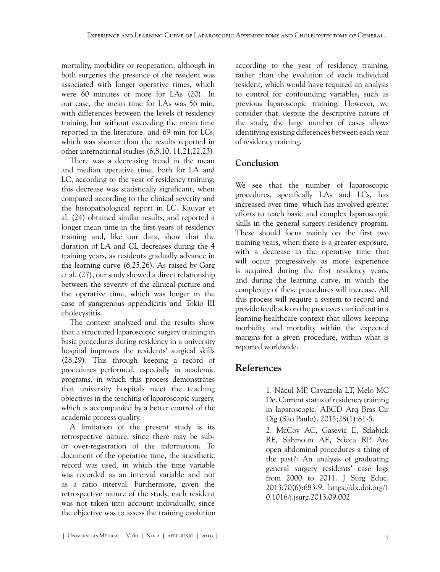mortality, morbidity or reoperation, although in both surgeries the presence of the resident was associated with longer operative times, which were 60 minutes or more for LAs ([20\)](#page-8-5). In our case, the mean time for LAs was 56 min, with differences between the levels of residency training, but without exceeding the mean time reported in the literature, and 69 min for LCs, which was shorter than the results reported in other international studies [\(6,](#page-7-3)[8](#page-7-5)[,10](#page-7-7), [11](#page-7-8),[21,](#page-8-6)[22,](#page-8-7)[23](#page-8-8)).

There was a decreasing trend in the mean and median operative time, both for LA and LC, according to the year of residency training; this decrease was statistically significant, when compared according to the clinical severity and the histopathological report in LC. Kauvar et al. [\(24](#page-8-9)) obtained similar results, and reported a longer mean time in the first years of residency training and, like our data, show that the duration of LA and CL decreases during the 4 training years, as residents gradually advance in the learning curve ([6](#page-7-3),[25](#page-8-10)[,26](#page-8-11)). As raised by Garg et al. ([27\)](#page-9-0), our study showed a direct relationship between the severity of the clinical picture and the operative time, which was longer in the case of gangrenous appendicitis and Tokio III cholecystitis.

The context analyzed and the results show that a structured laparoscopic surgery training in basic procedures during residency in a university hospital improves the residents' surgical skills [\(28,](#page-9-1)[29\)](#page-9-2). This through keeping a record of procedures performed, especially in academic programs, in which this process demonstrates that university hospitals meet the teaching objectives in the teaching of laparoscopic surgery, which is accompanied by a better control of the academic process quality.

A limitation of the present study is its retrospective nature, since there may be subor over-registration of the information. To document of the operative time, the anesthetic record was used, in which the time variable was recorded as an interval variable and not as a ratio interval. Furthermore, given the retrospective nature of the study, each resident was not taken into account individually, since the objective was to assess the training evolution according to the year of residency training, rather than the evolution of each individual resident, which would have required an analysis to control for confounding variables, such as previous laparoscopic training. However, we consider that, despite the descriptive nature of the study, the large number of cases allows identifying existing differences between each year of residency training.

## **Conclusion**

We see that the number of laparoscopic procedures, specifically LAs and LCs, has increased over time, which has involved greater efforts to teach basic and complex laparoscopic skills in the general surgery residency program. These should focus mainly on the first two training years, when there is a greater exposure, with a decrease in the operative time that will occur progressively as more experience is acquired during the first residency years, and during the learning curve, in which the complexity of these procedures will increase. All this process will require a system to record and provide feedback on the processes carried out in a learning-healthcare context that allows keeping morbidity and mortality within the expected margins for a given procedure, within what is reported worldwide.

# <span id="page-6-0"></span>**References**

1. Nácul MP, Cavazzola LT, Melo MC De. Current status of residency training in laparoscopic. ABCD Arq Bras Cir Dig (São Paulo). 2015;28(1):81-5.

<span id="page-6-1"></span>2. McCoy AC, Gasevic E, Szlabick RE, Sahmoun AE, Sticca RP. Are open abdominal procedures a thing of the past?: An analysis of graduating general surgery residents' case logs from 2000 to 2011. J Surg Educ. 2013;70(6):683-9. [https://dx.doi.org/1](https://dx.doi.org/10.1016/j.jsurg.2013.09.002) [0.1016/j.jsurg.2013.09.002](https://dx.doi.org/10.1016/j.jsurg.2013.09.002)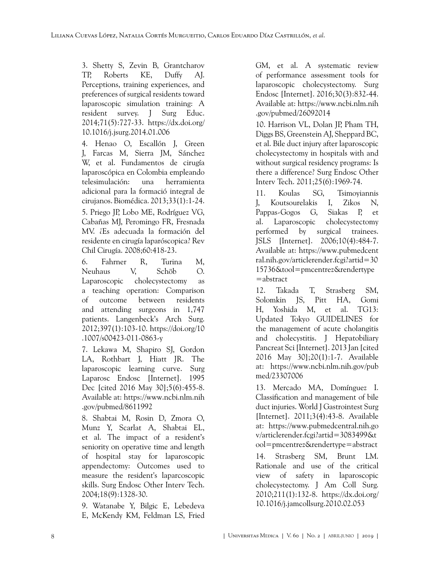<span id="page-7-0"></span>3. Shetty S, Zevin B, Grantcharov TP, Roberts KE, Duffy AJ. Perceptions, training experiences, and preferences of surgical residents toward laparoscopic simulation training: A resident survey. J Surg Educ. 2014;71(5):727-33. [https://dx.doi.org/](https://dx.doi.org/10.1016/j.jsurg.2014.01.006) [10.1016/j.jsurg.2014.01.006](https://dx.doi.org/10.1016/j.jsurg.2014.01.006)

<span id="page-7-1"></span>4. Henao O, Escallón J, Green J, Farcas M, Sierra JM, Sánchez W, et al. Fundamentos de cirugía laparoscópica en Colombia empleando telesimulación: una herramienta adicional para la formació integral de cirujanos. Biomédica. 2013;33(1):1-24.

<span id="page-7-2"></span>5. Priego JP, Lobo ME, Rodríguez VG, Cabañas MJ, Peromingo FR, Fresnada MV. ¿Es adecuada la formación del residente en cirugía laparóscopica? Rev Chil Cirugía. 2008;60:418-23.

<span id="page-7-3"></span>6. Fahrner R, Turina M, Neuhaus V, Schöb O. Laparoscopic cholecystectomy as a teaching operation: Comparison of outcome between residents and attending surgeons in 1,747 patients. Langenbeck's Arch Surg. 2012;397(1):103-10. [https://doi.org/10](https://doi.org/10.1007/s00423-011-0863-y) [.1007/s00423-011-0863-y](https://doi.org/10.1007/s00423-011-0863-y)

<span id="page-7-4"></span>7. Lekawa M, Shapiro SJ, Gordon LA, Rothbart J, Hiatt JR. The laparoscopic learning curve. Surg Laparosc Endosc [Internet]. 1995 Dec [cited 2016 May 30];5(6):455-8. Available at: [https://www.ncbi.nlm.nih](https://www.ncbi.nlm.nih.gov/pubmed/8611992) [.gov/pubmed/8611992](https://www.ncbi.nlm.nih.gov/pubmed/8611992)

<span id="page-7-5"></span>8. Shabtai M, Rosin D, Zmora O, Munz Y, Scarlat A, Shabtai EL, et al. The impact of a resident's seniority on operative time and length of hospital stay for laparoscopic appendectomy: Outcomes used to measure the resident's laparcoscopic skills. Surg Endosc Other Interv Tech. 2004;18(9):1328-30.

<span id="page-7-6"></span>9. Watanabe Y, Bilgic E, Lebedeva E, McKendy KM, Feldman LS, Fried

GM, et al. A systematic review of performance assessment tools for laparoscopic cholecystectomy. Surg Endosc [Internet]. 2016;30(3):832-44. Available at: [https://www.ncbi.nlm.nih](https://www.ncbi.nlm.nih.gov/pubmed/26092014) [.gov/pubmed/26092014](https://www.ncbi.nlm.nih.gov/pubmed/26092014)

<span id="page-7-7"></span>10. Harrison VL, Dolan JP, Pham TH, Diggs BS, Greenstein AJ, Sheppard BC, et al. Bile duct injury after laparoscopic cholecystectomy in hospitals with and without surgical residency programs: Is there a difference? Surg Endosc Other Interv Tech. 2011;25(6):1969-74.

<span id="page-7-8"></span>11. Koulas SG, Tsimoyiannis J, Koutsourelakis I, Zikos N, Pappas-Gogos G, Siakas P, et al. Laparoscopic cholecystectomy performed by surgical trainees. JSLS [Internet]. 2006;10(4):484-7. Available at: [https://www.pubmedcent](https://www.pubmedcentral.nih.gov/articlerender.fcgi?artid=3015736&tool=pmcentrez&rendertype=abstract) [ral.nih.gov/articlerender.fcgi?artid=30](https://www.pubmedcentral.nih.gov/articlerender.fcgi?artid=3015736&tool=pmcentrez&rendertype=abstract) [15736&tool=pmcentrez&rendertype](https://www.pubmedcentral.nih.gov/articlerender.fcgi?artid=3015736&tool=pmcentrez&rendertype=abstract) [=abstract](https://www.pubmedcentral.nih.gov/articlerender.fcgi?artid=3015736&tool=pmcentrez&rendertype=abstract)

<span id="page-7-9"></span>12. Takada T, Strasberg SM, Solomkin JS, Pitt HA, Gomi H, Yoshida M, et al. TG13: Updated Tokyo GUIDELINES for the management of acute cholangitis and cholecystitis. J Hepatobiliary Pancreat Sci [Internet]. 2013 Jan [cited 2016 May 30];20(1):1-7. Available at: [https://www.ncbi.nlm.nih.gov/pub](https://www.ncbi.nlm.nih.gov/pubmed/23307006) [med/23307006](https://www.ncbi.nlm.nih.gov/pubmed/23307006)

<span id="page-7-11"></span><span id="page-7-10"></span>13. Mercado MA, Domínguez I. Classification and management of bile duct injuries. World J Gastrointest Surg [Internet]. 2011;3(4):43-8. Available at: [https://www.pubmedcentral.nih.go](https://www.pubmedcentral.nih.gov/articlerender.fcgi?artid=3083499&tool=pmcentrez&rendertype=abstract) [v/articlerender.fcgi?artid=3083499&t](https://www.pubmedcentral.nih.gov/articlerender.fcgi?artid=3083499&tool=pmcentrez&rendertype=abstract) [ool=pmcentrez&rendertype=abstract](https://www.pubmedcentral.nih.gov/articlerender.fcgi?artid=3083499&tool=pmcentrez&rendertype=abstract) 14. Strasberg SM, Brunt LM. Rationale and use of the critical view of safety in laparoscopic cholecystectomy. J Am Coll Surg. 2010;211(1):132-8. [https://dx.doi.org/](https://dx.doi.org/10.1016/j.jamcollsurg.2010.02.053) [10.1016/j.jamcollsurg.2010.02.053](https://dx.doi.org/10.1016/j.jamcollsurg.2010.02.053)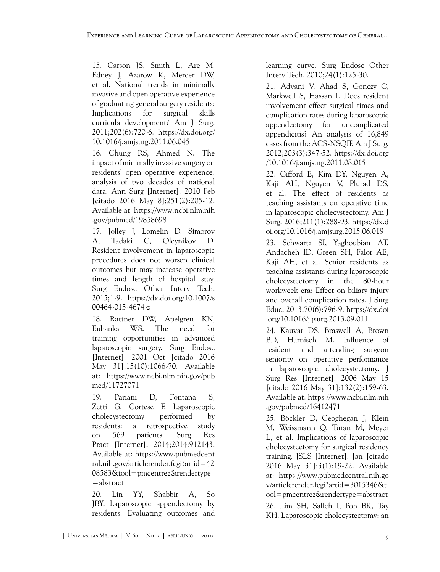<span id="page-8-0"></span>15. Carson JS, Smith L, Are M, Edney J, Azarow K, Mercer DW, et al. National trends in minimally invasive and open operative experience of graduating general surgery residents: Implications for surgical skills curricula development? Am J Surg. 2011;202(6):720-6. [https://dx.doi.org/](https://dx.doi.org/10.1016/j.amjsurg.2011.06.045) [10.1016/j.amjsurg.2011.06.045](https://dx.doi.org/10.1016/j.amjsurg.2011.06.045)

<span id="page-8-1"></span>16. Chung RS, Ahmed N. The impact of minimally invasive surgery on residents' open operative experience: analysis of two decades of national data. Ann Surg [Internet]. 2010 Feb [citado 2016 May 8];251(2):205-12. Available at: [https://www.ncbi.nlm.nih](https://www.ncbi.nlm.nih.gov/pubmed/19858698) [.gov/pubmed/19858698](https://www.ncbi.nlm.nih.gov/pubmed/19858698)

<span id="page-8-2"></span>17. Jolley J, Lomelin D, Simorov A, Tadaki C, Oleynikov D. Resident involvement in laparoscopic procedures does not worsen clinical outcomes but may increase operative times and length of hospital stay. Surg Endosc Other Interv Tech. 2015;1-9. [https://dx.doi.org/10.1007/s](https://dx.doi.org/10.1007/s00464-015-4674-z) [00464-015-4674-z](https://dx.doi.org/10.1007/s00464-015-4674-z)

<span id="page-8-3"></span>18. Rattner DW, Apelgren KN, Eubanks WS. The need for training opportunities in advanced laparoscopic surgery. Surg Endosc [Internet]. 2001 Oct [citado 2016 May 31];15(10):1066-70. Available at: [https://www.ncbi.nlm.nih.gov/pub](https://www.ncbi.nlm.nih.gov/pubmed/11727071) [med/11727071](https://www.ncbi.nlm.nih.gov/pubmed/11727071)

<span id="page-8-4"></span>19. Pariani D, Fontana S, Zetti G, Cortese F. Laparoscopic cholecystectomy performed by residents: a retrospective study on 569 patients. Surg Res Pract [Internet]. 2014;2014:912143. Available at: [https://www.pubmedcent](https://www.pubmedcentral.nih.gov/articlerender.fcgi?artid=4208583&tool=pmcentrez&rendertype=abstract) [ral.nih.gov/articlerender.fcgi?artid=42](https://www.pubmedcentral.nih.gov/articlerender.fcgi?artid=4208583&tool=pmcentrez&rendertype=abstract) [08583&tool=pmcentrez&rendertype](https://www.pubmedcentral.nih.gov/articlerender.fcgi?artid=4208583&tool=pmcentrez&rendertype=abstract) [=abstract](https://www.pubmedcentral.nih.gov/articlerender.fcgi?artid=4208583&tool=pmcentrez&rendertype=abstract)

<span id="page-8-5"></span>20. Lin YY, Shabbir A, So JBY. Laparoscopic appendectomy by residents: Evaluating outcomes and learning curve. Surg Endosc Other Interv Tech. 2010;24(1):125-30.

<span id="page-8-6"></span>21. Advani V, Ahad S, Gonczy C, Markwell S, Hassan I. Does resident involvement effect surgical times and complication rates during laparoscopic appendectomy for uncomplicated appendicitis? An analysis of 16,849 cases from the ACS-NSQIP. Am J Surg. 2012;203(3):347-52. [https://dx.doi.org](https://dx.doi.org/10.1016/j.amjsurg.2011.08.015) [/10.1016/j.amjsurg.2011.08.015](https://dx.doi.org/10.1016/j.amjsurg.2011.08.015)

<span id="page-8-7"></span>22. Gifford E, Kim DY, Nguyen A, Kaji AH, Nguyen V, Plurad DS, et al. The effect of residents as teaching assistants on operative time in laparoscopic cholecystectomy. Am J Surg. 2016;211(1):288-93. [https://dx.d](https://dx.doi.org/10.1016/j.amjsurg.2015.06.019) [oi.org/10.1016/j.amjsurg.2015.06.019](https://dx.doi.org/10.1016/j.amjsurg.2015.06.019)

<span id="page-8-8"></span>23. Schwartz SI, Yaghoubian AT, Andacheh ID, Green SH, Falor AE, Kaji AH, et al. Senior residents as teaching assistants during laparoscopic cholecystectomy in the 80-hour workweek era: Effect on biliary injury and overall complication rates. J Surg Educ. 2013;70(6):796-9. [https://dx.doi](https://dx.doi.org/10.1016/j.jsurg.2013.09.011) [.org/10.1016/j.jsurg.2013.09.011](https://dx.doi.org/10.1016/j.jsurg.2013.09.011)

<span id="page-8-9"></span>24. Kauvar DS, Braswell A, Brown BD, Harnisch M. Influence of resident and attending surgeon seniority on operative performance in laparoscopic cholecystectomy. J Surg Res [Internet]. 2006 May 15 [citado 2016 May 31];132(2):159-63. Available at: [https://www.ncbi.nlm.nih](https://www.ncbi.nlm.nih.gov/pubmed/16412471) [.gov/pubmed/16412471](https://www.ncbi.nlm.nih.gov/pubmed/16412471)

<span id="page-8-11"></span><span id="page-8-10"></span>25. Böckler D, Geoghegan J, Klein M, Weissmann Q, Turan M, Meyer L, et al. Implications of laparoscopic cholecystectomy for surgical residency training. JSLS [Internet]. Jan [citado 2016 May 31];3(1):19-22. Available at: [https://www.pubmedcentral.nih.go](https://www.pubmedcentral.nih.gov/articlerender.fcgi?artid=3015346&tool=pmcentrez&rendertype=abstract) [v/articlerender.fcgi?artid=3015346&t](https://www.pubmedcentral.nih.gov/articlerender.fcgi?artid=3015346&tool=pmcentrez&rendertype=abstract) [ool=pmcentrez&rendertype=abstract](https://www.pubmedcentral.nih.gov/articlerender.fcgi?artid=3015346&tool=pmcentrez&rendertype=abstract) 26. Lim SH, Salleh I, Poh BK, Tay KH. Laparoscopic cholecystectomy: an